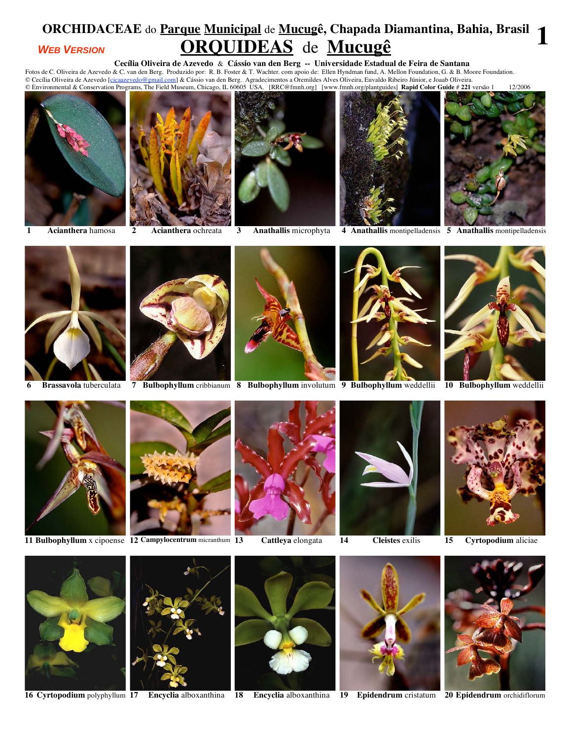## **ORCHIDACEAE** do **Parque Municipal** de **Mucugê, Chapada Diamantina, Bahia, Brasil ORQUIDEAS** de **Mucugê 1** *WEB VERSION*

**Cecília Oliveira de Azevedo** & **Cássio van den Berg -- Universidade Estadual de Feira de Santana** 

Fotos de C. Oliveira de Azevedo & C. van den Berg. Produzido por: R. B. Foster & T. Wachter. com apoio de: Ellen Hyndman fund, A. Mellon Foundation, G. & B. Moore Foundation. © Cecília Oliveira de Azevedo [<u>cicaazevedo@gmail.com]</u> & Cássio van den Berg. Agradecimentos a Oremildes Alves Oliveira, Euvaldo Ribeiro Júnior, e Joaab Oliveira.











**1 Acianthera** hamosa **2 Acianthera** ochreata **3 Anathallis** microphyta **4 Anathallis** montipelladensis **5 Anathallis** montipelladensis









**6 Brassavola** tuberculata **7 Bulbophyllum** cribbianum **8 Bulbophyllum** involutum **9 Bulbophyllum** weddellii **10 Bulbophyllum** weddellii







**11 Bulbophyllum** x cipoense **12 Campylocentrum** micranthum **13 Cattleya** elongata **14 Cleistes** exilis **15 Cyrtopodium** aliciae